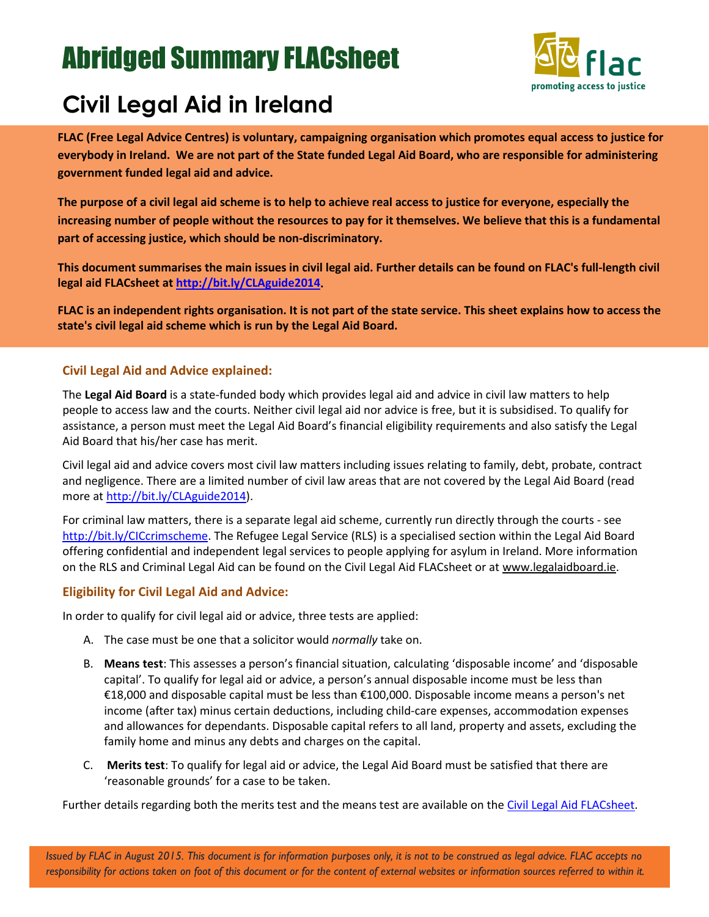# Abridged Summary FLACsheet



# **Civil Legal Aid in Ireland**

**FLAC (Free Legal Advice Centres) is voluntary, campaigning organisation which promotes equal access to justice for everybody in Ireland. We are not part of the State funded Legal Aid Board, who are responsible for administering government funded legal aid and advice.** 

**The purpose of a civil legal aid scheme is to help to achieve real access to justice for everyone, especially the increasing number of people without the resources to pay for it themselves. We believe that this is a fundamental part of accessing justice, which should be non-discriminatory.**

**This document summarises the main issues in civil legal aid. Further details can be found on FLAC's full-length civil legal aid FLACsheet at [http://bit.ly/CLAguide2014.](http://bit.ly/CLAguide2014)**

**FLAC is an independent rights organisation. It is not part of the state service. This sheet explains how to access the state's civil legal aid scheme which is run by the Legal Aid Board.**

# **Civil Legal Aid and Advice explained:**

The **Legal Aid Board** is a state-funded body which provides legal aid and advice in civil law matters to help people to access law and the courts. Neither civil legal aid nor advice is free, but it is subsidised. To qualify for assistance, a person must meet the Legal Aid Board's financial eligibility requirements and also satisfy the Legal Aid Board that his/her case has merit.

Civil legal aid and advice covers most civil law matters including issues relating to family, debt, probate, contract and negligence. There are a limited number of civil law areas that are not covered by the Legal Aid Board (read more at [http://bit.ly/CLAguide2014\)](http://bit.ly/CLAguide2014).

For criminal law matters, there is a separate legal aid scheme, currently run directly through the courts - see [http://bit.ly/CICcrimscheme.](http://bit.ly/CICcrimscheme) The Refugee Legal Service (RLS) is a specialised section within the Legal Aid Board offering confidential and independent legal services to people applying for asylum in Ireland. More information on the RLS and Criminal Legal Aid can be found on the Civil Legal Aid FLACsheet or at [www.legalaidboard.ie.](http://www.legalaidboard.ie/)

# **Eligibility for Civil Legal Aid and Advice:**

In order to qualify for civil legal aid or advice, three tests are applied:

- A. The case must be one that a solicitor would *normally* take on.
- B. **Means test**: This assesses a person's financial situation, calculating 'disposable income' and 'disposable capital'. To qualify for legal aid or advice, a person's annual disposable income must be less than €18,000 and disposable capital must be less than €100,000. Disposable income means a person's net income (after tax) minus certain deductions, including child-care expenses, accommodation expenses and allowances for dependants. Disposable capital refers to all land, property and assets, excluding the family home and minus any debts and charges on the capital.
- C. **Merits test**: To qualify for legal aid or advice, the Legal Aid Board must be satisfied that there are 'reasonable grounds' for a case to be taken.

Further details regarding both the merits test and the means test are available on the [Civil Legal Aid FLACsheet.](http://bit.ly/CLAguide2014)